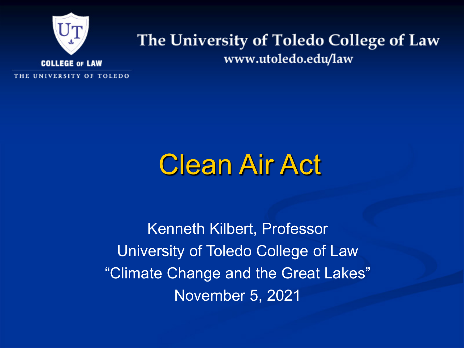

#### The University of Toledo College of Law www.utoledo.edu/law

THE UNIVERSITY OF TOLEDO

#### Clean Air Act

Kenneth Kilbert, Professor University of Toledo College of Law "Climate Change and the Great Lakes" November 5, 2021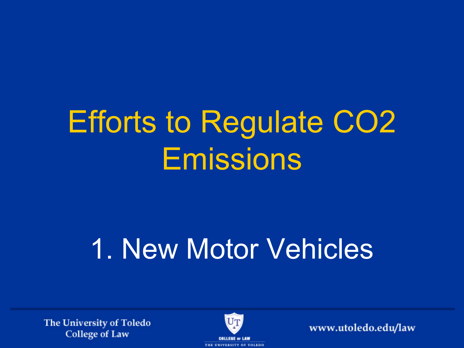# Efforts to Regulate CO2 Emissions

# 1. New Motor Vehicles

The University of Toledo **College of Law** 

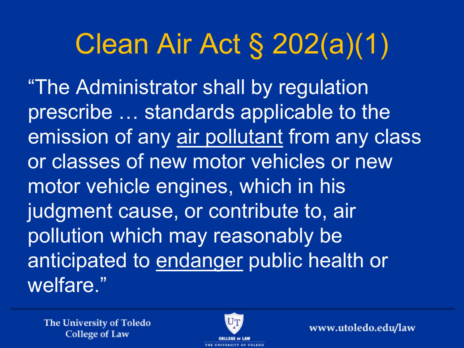## Clean Air Act § 202(a)(1)

"The Administrator shall by regulation prescribe … standards applicable to the emission of any air pollutant from any class or classes of new motor vehicles or new motor vehicle engines, which in his judgment cause, or contribute to, air pollution which may reasonably be anticipated to endanger public health or welfare."

The University of Toledo **College of Law** 

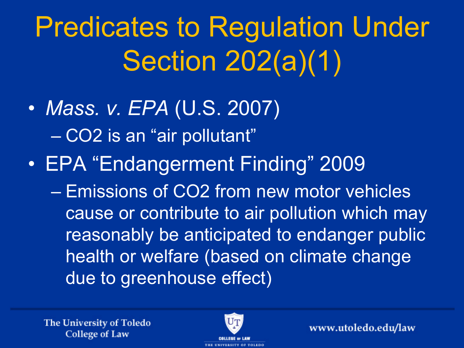# Predicates to Regulation Under Section 202(a)(1)

- *Mass. v. EPA* (U.S. 2007) – CO2 is an "air pollutant"
- EPA "Endangerment Finding" 2009
	- Emissions of CO2 from new motor vehicles cause or contribute to air pollution which may reasonably be anticipated to endanger public health or welfare (based on climate change due to greenhouse effect)

The University of Toledo **College of Law** 

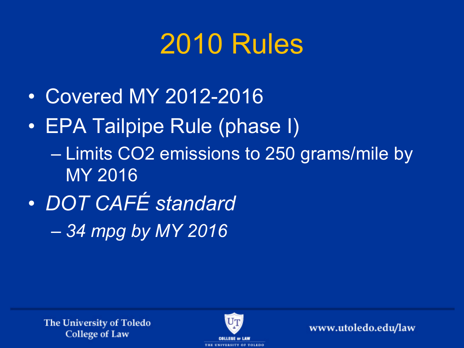### 2010 Rules

- Covered MY 2012-2016
- EPA Tailpipe Rule (phase I) – Limits CO2 emissions to 250 grams/mile by MY 2016
- *DOT CAFÉ standard* – *34 mpg by MY 2016*

The University of Toledo **College of Law** 

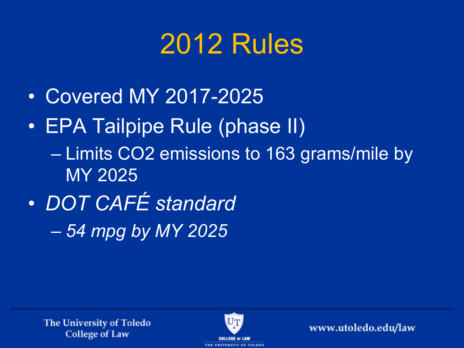### 2012 Rules

- Covered MY 2017-2025
- EPA Tailpipe Rule (phase II) – Limits CO2 emissions to 163 grams/mile by MY 2025
- *DOT CAFÉ standard* – *54 mpg by MY 2025*

The University of Toledo **College of Law** 

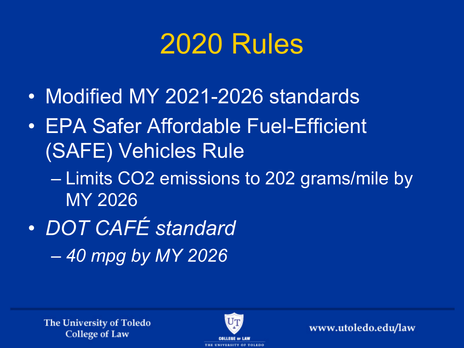#### 2020 Rules

- Modified MY 2021-2026 standards
- EPA Safer Affordable Fuel-Efficient (SAFE) Vehicles Rule
	- Limits CO2 emissions to 202 grams/mile by MY 2026
- *DOT CAFÉ standard* – *40 mpg by MY 2026*

The University of Toledo **College of Law** 

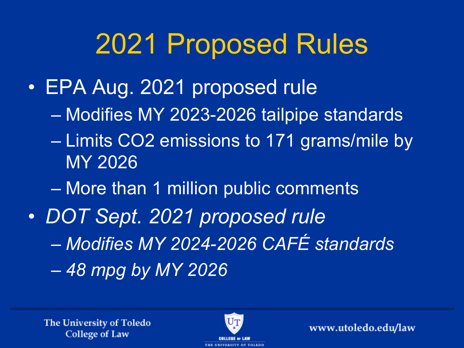### 2021 Proposed Rules

- EPA Aug. 2021 proposed rule
	- Modifies MY 2023-2026 tailpipe standards
	- Limits CO2 emissions to 171 grams/mile by MY 2026
	- More than 1 million public comments
- *DOT Sept. 2021 proposed rule* – *Modifies MY 2024-2026 CAFÉ standards* – *48 mpg by MY 2026*

The University of Toledo **College of Law** 

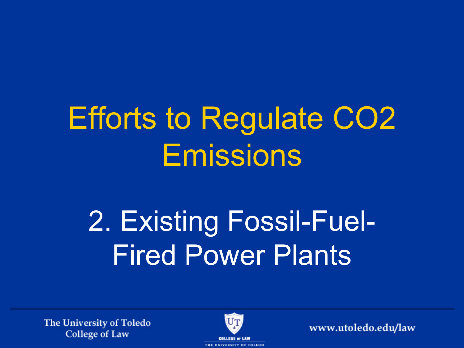# Efforts to Regulate CO2 Emissions

# 2. Existing Fossil-Fuel-Fired Power Plants

The University of Toledo **College of Law** 

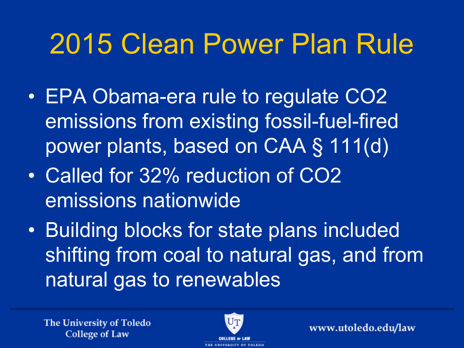### 2015 Clean Power Plan Rule

- EPA Obama-era rule to regulate CO2 emissions from existing fossil-fuel-fired power plants, based on CAA § 111(d)
- Called for 32% reduction of CO2 emissions nationwide
- Building blocks for state plans included shifting from coal to natural gas, and from natural gas to renewables

The University of Toledo **College of Law** 

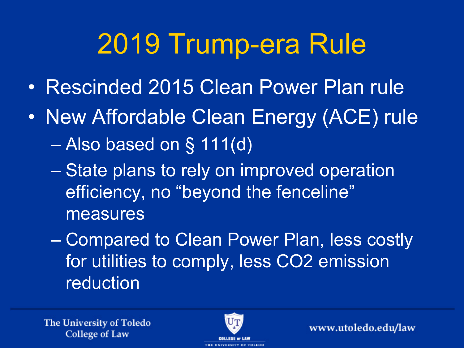## 2019 Trump-era Rule

- Rescinded 2015 Clean Power Plan rule
- New Affordable Clean Energy (ACE) rule – Also based on § 111(d)
	- State plans to rely on improved operation efficiency, no "beyond the fenceline" measures
	- Compared to Clean Power Plan, less costly for utilities to comply, less CO2 emission reduction

The University of Toledo **College of Law**